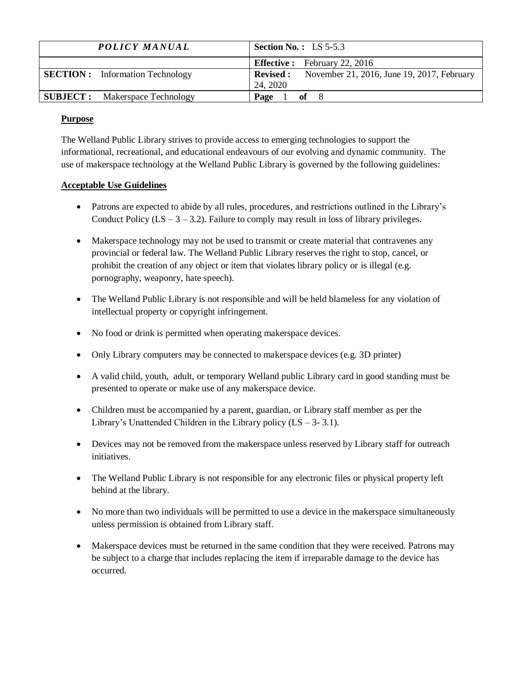| POLICY MANUAL                           | <b>Section No.:</b> LS $5-5.3$                                         |
|-----------------------------------------|------------------------------------------------------------------------|
|                                         | <b>Effective :</b> February 22, 2016                                   |
| <b>SECTION</b> : Information Technology | <b>Revised:</b> November 21, 2016, June 19, 2017, February<br>24, 2020 |
| <b>SUBJECT:</b> Makerspace Technology   | $of \t 8$<br>Page                                                      |

### **Purpose**

The Welland Public Library strives to provide access to emerging technologies to support the informational, recreational, and educational endeavours of our evolving and dynamic community. The use of makerspace technology at the Welland Public Library is governed by the following guidelines:

# **Acceptable Use Guidelines**

- Patrons are expected to abide by all rules, procedures, and restrictions outlined in the Library's Conduct Policy  $(LS - 3 - 3.2)$ . Failure to comply may result in loss of library privileges.
- Makerspace technology may not be used to transmit or create material that contravenes any provincial or federal law. The Welland Public Library reserves the right to stop, cancel, or prohibit the creation of any object or item that violates library policy or is illegal (e.g. pornography, weaponry, hate speech).
- The Welland Public Library is not responsible and will be held blameless for any violation of intellectual property or copyright infringement.
- No food or drink is permitted when operating makerspace devices.
- Only Library computers may be connected to maker space devices (e.g. 3D printer)
- A valid child, youth, adult, or temporary Welland public Library card in good standing must be presented to operate or make use of any makerspace device.
- Children must be accompanied by a parent, guardian, or Library staff member as per the Library's Unattended Children in the Library policy  $(LS - 3-3.1)$ .
- Devices may not be removed from the makerspace unless reserved by Library staff for outreach initiatives.
- The Welland Public Library is not responsible for any electronic files or physical property left behind at the library.
- No more than two individuals will be permitted to use a device in the makerspace simultaneously unless permission is obtained from Library staff.
- Makerspace devices must be returned in the same condition that they were received. Patrons may be subject to a charge that includes replacing the item if irreparable damage to the device has occurred.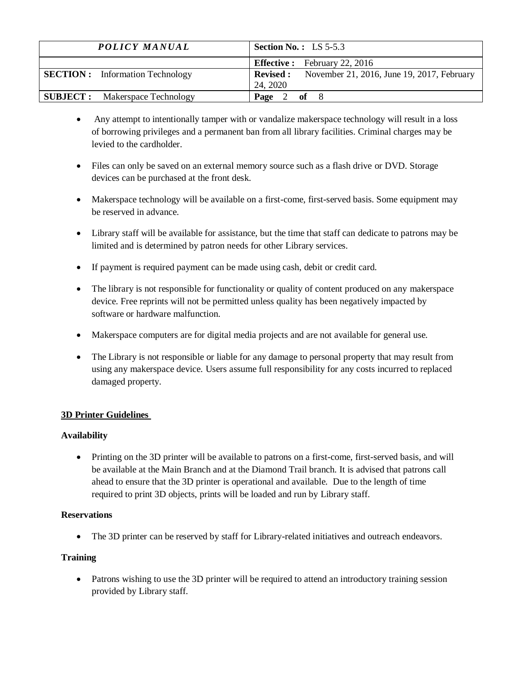| POLICY MANUAL                          | <b>Section No.:</b> LS $5-5.3$                                             |
|----------------------------------------|----------------------------------------------------------------------------|
|                                        | <b>Effective :</b> February 22, 2016                                       |
| <b>SECTION:</b> Information Technology | November 21, 2016, June 19, 2017, February<br><b>Revised :</b><br>24, 2020 |
| <b>SUBJECT:</b> Makerspace Technology  | Page 2 of 8                                                                |

- Any attempt to intentionally tamper with or vandalize makerspace technology will result in a loss of borrowing privileges and a permanent ban from all library facilities. Criminal charges may be levied to the cardholder.
- Files can only be saved on an external memory source such as a flash drive or DVD. Storage devices can be purchased at the front desk.
- Makerspace technology will be available on a first-come, first-served basis. Some equipment may be reserved in advance.
- Library staff will be available for assistance, but the time that staff can dedicate to patrons may be limited and is determined by patron needs for other Library services.
- If payment is required payment can be made using cash, debit or credit card.
- The library is not responsible for functionality or quality of content produced on any makerspace device. Free reprints will not be permitted unless quality has been negatively impacted by software or hardware malfunction.
- Makerspace computers are for digital media projects and are not available for general use.
- The Library is not responsible or liable for any damage to personal property that may result from using any makerspace device. Users assume full responsibility for any costs incurred to replaced damaged property.

# **3D Printer Guidelines**

# **Availability**

• Printing on the 3D printer will be available to patrons on a first-come, first-served basis, and will be available at the Main Branch and at the Diamond Trail branch. It is advised that patrons call ahead to ensure that the 3D printer is operational and available. Due to the length of time required to print 3D objects, prints will be loaded and run by Library staff.

#### **Reservations**

• The 3D printer can be reserved by staff for Library-related initiatives and outreach endeavors.

# **Training**

• Patrons wishing to use the 3D printer will be required to attend an introductory training session provided by Library staff.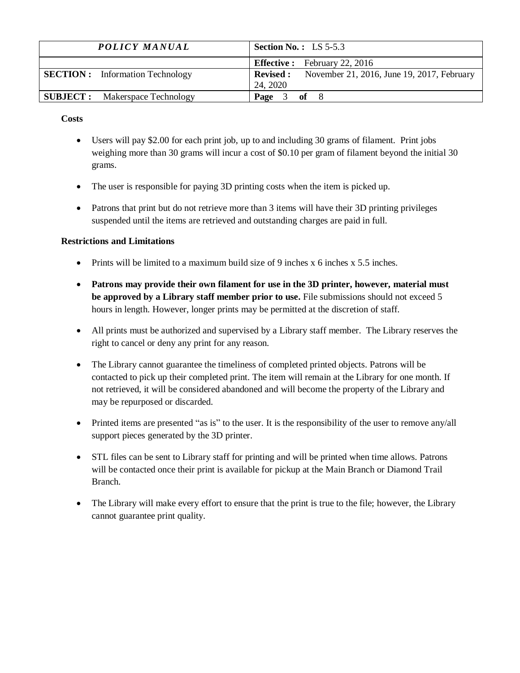| <b>POLICY MANUAL</b>                    | <b>Section No.:</b> LS $5-5.3$                                             |
|-----------------------------------------|----------------------------------------------------------------------------|
|                                         | <b>Effective :</b> February 22, 2016                                       |
| <b>SECTION</b> : Information Technology | November 21, 2016, June 19, 2017, February<br><b>Revised :</b><br>24, 2020 |
| <b>SUBJECT:</b> Makerspace Technology   | Page<br>$3$ of 8                                                           |

**Costs**

- Users will pay \$2.00 for each print job, up to and including 30 grams of filament. Print jobs weighing more than 30 grams will incur a cost of \$0.10 per gram of filament beyond the initial 30 grams.
- The user is responsible for paying 3D printing costs when the item is picked up.
- Patrons that print but do not retrieve more than 3 items will have their 3D printing privileges suspended until the items are retrieved and outstanding charges are paid in full.

# **Restrictions and Limitations**

- Prints will be limited to a maximum build size of 9 inches  $x$  6 inches  $x$  5.5 inches.
- **Patrons may provide their own filament for use in the 3D printer, however, material must be approved by a Library staff member prior to use.** File submissions should not exceed 5 hours in length. However, longer prints may be permitted at the discretion of staff.
- All prints must be authorized and supervised by a Library staff member. The Library reserves the right to cancel or deny any print for any reason.
- The Library cannot guarantee the timeliness of completed printed objects. Patrons will be contacted to pick up their completed print. The item will remain at the Library for one month. If not retrieved, it will be considered abandoned and will become the property of the Library and may be repurposed or discarded.
- Printed items are presented "as is" to the user. It is the responsibility of the user to remove any/all support pieces generated by the 3D printer.
- STL files can be sent to Library staff for printing and will be printed when time allows. Patrons will be contacted once their print is available for pickup at the Main Branch or Diamond Trail Branch.
- The Library will make every effort to ensure that the print is true to the file; however, the Library cannot guarantee print quality.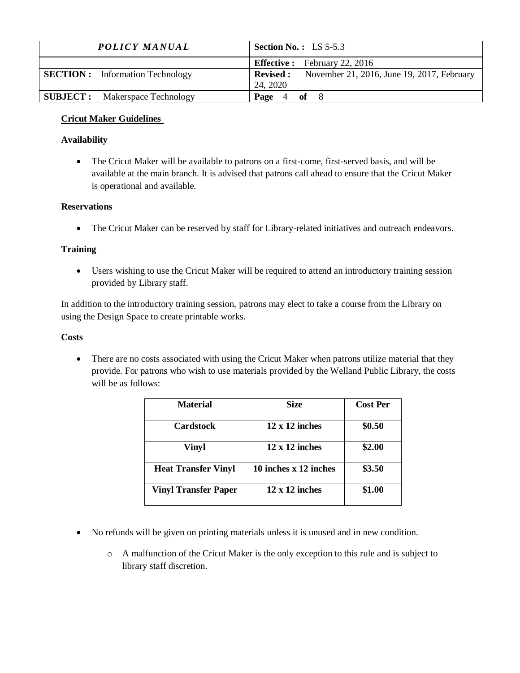| POLICY MANUAL                           | <b>Section No.:</b> LS $5-5.3$                                          |
|-----------------------------------------|-------------------------------------------------------------------------|
|                                         | <b>Effective :</b> February 22, 2016                                    |
| <b>SECTION</b> : Information Technology | <b>Revised :</b> November 21, 2016, June 19, 2017, February<br>24, 2020 |
| <b>SUBJECT:</b> Makerspace Technology   | $4$ of 8<br>Page                                                        |

### **Cricut Maker Guidelines**

### **Availability**

• The Cricut Maker will be available to patrons on a first-come, first-served basis, and will be available at the main branch. It is advised that patrons call ahead to ensure that the Cricut Maker is operational and available.

### **Reservations**

• The Cricut Maker can be reserved by staff for Library-related initiatives and outreach endeavors.

#### **Training**

• Users wishing to use the Cricut Maker will be required to attend an introductory training session provided by Library staff.

In addition to the introductory training session, patrons may elect to take a course from the Library on using the Design Space to create printable works.

#### **Costs**

• There are no costs associated with using the Cricut Maker when patrons utilize material that they provide. For patrons who wish to use materials provided by the Welland Public Library, the costs will be as follows:

| Material                    | <b>Size</b>           | <b>Cost Per</b> |
|-----------------------------|-----------------------|-----------------|
| <b>Cardstock</b>            | $12 \times 12$ inches | \$0.50          |
| <b>Vinyl</b>                | $12 \times 12$ inches | \$2.00          |
| <b>Heat Transfer Vinyl</b>  | 10 inches x 12 inches | \$3.50          |
| <b>Vinyl Transfer Paper</b> | $12 \times 12$ inches | \$1.00          |

- No refunds will be given on printing materials unless it is unused and in new condition.
	- o A malfunction of the Cricut Maker is the only exception to this rule and is subject to library staff discretion.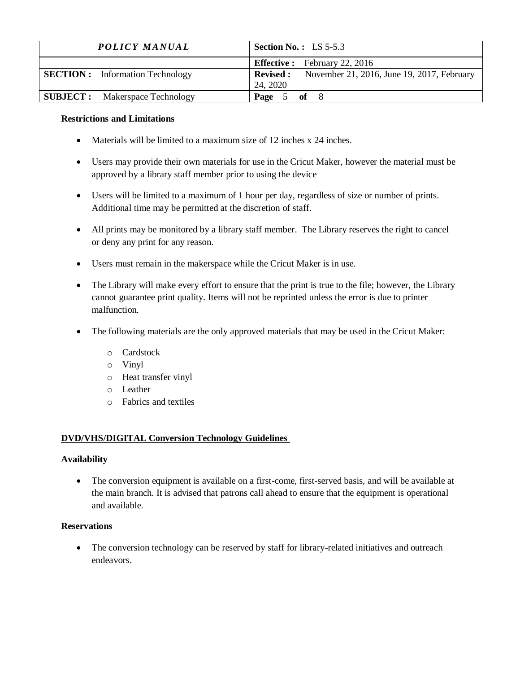| POLICY MANUAL                          | <b>Section No.:</b> LS $5-5.3$                                         |
|----------------------------------------|------------------------------------------------------------------------|
|                                        | <b>Effective :</b> February 22, 2016                                   |
| <b>SECTION:</b> Information Technology | <b>Revised:</b> November 21, 2016, June 19, 2017, February<br>24, 2020 |
| <b>SUBJECT:</b> Makerspace Technology  | Page 5 of 8                                                            |

#### **Restrictions and Limitations**

- Materials will be limited to a maximum size of 12 inches x 24 inches.
- Users may provide their own materials for use in the Cricut Maker, however the material must be approved by a library staff member prior to using the device
- Users will be limited to a maximum of 1 hour per day, regardless of size or number of prints. Additional time may be permitted at the discretion of staff.
- All prints may be monitored by a library staff member. The Library reserves the right to cancel or deny any print for any reason.
- Users must remain in the makerspace while the Cricut Maker is in use.
- The Library will make every effort to ensure that the print is true to the file; however, the Library cannot guarantee print quality. Items will not be reprinted unless the error is due to printer malfunction.
- The following materials are the only approved materials that may be used in the Cricut Maker:
	- o Cardstock
	- o Vinyl
	- o Heat transfer vinyl
	- o Leather
	- o Fabrics and textiles

# **DVD/VHS/DIGITAL Conversion Technology Guidelines**

#### **Availability**

• The conversion equipment is available on a first-come, first-served basis, and will be available at the main branch. It is advised that patrons call ahead to ensure that the equipment is operational and available.

# **Reservations**

• The conversion technology can be reserved by staff for library-related initiatives and outreach endeavors.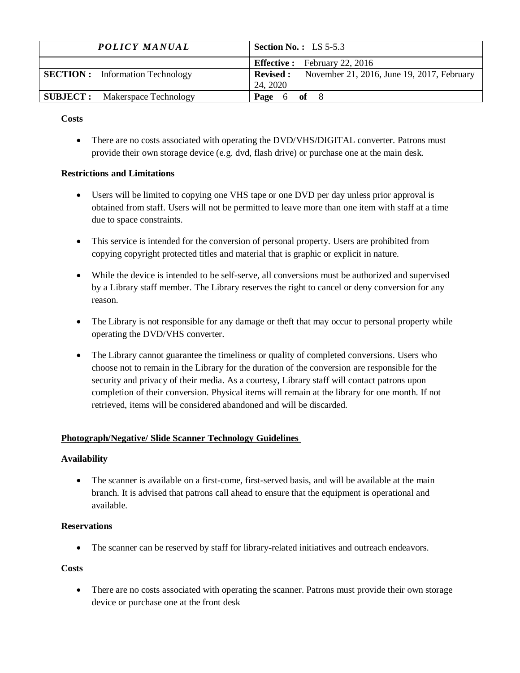| <b>POLICY MANUAL</b>                   | <b>Section No.:</b> LS $5-5.3$                                             |
|----------------------------------------|----------------------------------------------------------------------------|
|                                        | <b>Effective :</b> February 22, 2016                                       |
| <b>SECTION:</b> Information Technology | <b>Revised :</b><br>November 21, 2016, June 19, 2017, February<br>24, 2020 |
| <b>SUBJECT:</b> Makerspace Technology  | Page<br>6 <b>of</b> 8                                                      |

#### **Costs**

• There are no costs associated with operating the DVD/VHS/DIGITAL converter. Patrons must provide their own storage device (e.g. dvd, flash drive) or purchase one at the main desk.

# **Restrictions and Limitations**

- Users will be limited to copying one VHS tape or one DVD per day unless prior approval is obtained from staff. Users will not be permitted to leave more than one item with staff at a time due to space constraints.
- This service is intended for the conversion of personal property. Users are prohibited from copying copyright protected titles and material that is graphic or explicit in nature.
- While the device is intended to be self-serve, all conversions must be authorized and supervised by a Library staff member. The Library reserves the right to cancel or deny conversion for any reason.
- The Library is not responsible for any damage or theft that may occur to personal property while operating the DVD/VHS converter.
- The Library cannot guarantee the timeliness or quality of completed conversions. Users who choose not to remain in the Library for the duration of the conversion are responsible for the security and privacy of their media. As a courtesy, Library staff will contact patrons upon completion of their conversion. Physical items will remain at the library for one month. If not retrieved, items will be considered abandoned and will be discarded.

# **Photograph/Negative/ Slide Scanner Technology Guidelines**

#### **Availability**

• The scanner is available on a first-come, first-served basis, and will be available at the main branch. It is advised that patrons call ahead to ensure that the equipment is operational and available.

#### **Reservations**

• The scanner can be reserved by staff for library-related initiatives and outreach endeavors.

#### **Costs**

• There are no costs associated with operating the scanner. Patrons must provide their own storage device or purchase one at the front desk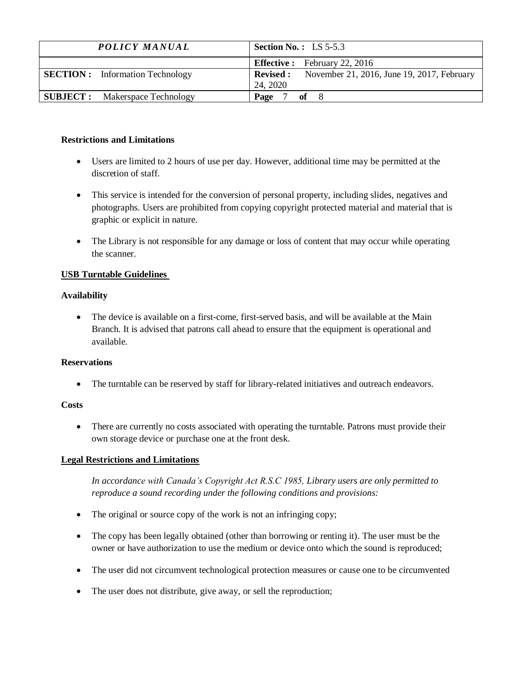| POLICY MANUAL                           | <b>Section No.:</b> LS $5-5.3$                                         |
|-----------------------------------------|------------------------------------------------------------------------|
|                                         | <b>Effective :</b> February 22, 2016                                   |
| <b>SECTION</b> : Information Technology | <b>Revised:</b> November 21, 2016, June 19, 2017, February<br>24, 2020 |
| <b>SUBJECT:</b> Makerspace Technology   | of<br>Page                                                             |

### **Restrictions and Limitations**

- Users are limited to 2 hours of use per day. However, additional time may be permitted at the discretion of staff.
- This service is intended for the conversion of personal property, including slides, negatives and photographs. Users are prohibited from copying copyright protected material and material that is graphic or explicit in nature.
- The Library is not responsible for any damage or loss of content that may occur while operating the scanner.

#### **USB Turntable Guidelines**

# **Availability**

• The device is available on a first-come, first-served basis, and will be available at the Main Branch. It is advised that patrons call ahead to ensure that the equipment is operational and available.

#### **Reservations**

• The turntable can be reserved by staff for library-related initiatives and outreach endeavors.

#### **Costs**

• There are currently no costs associated with operating the turntable. Patrons must provide their own storage device or purchase one at the front desk.

# **Legal Restrictions and Limitations**

*In accordance with Canada's Copyright Act R.S.C 1985, Library users are only permitted to reproduce a sound recording under the following conditions and provisions:* 

- The original or source copy of the work is not an infringing copy;
- The copy has been legally obtained (other than borrowing or renting it). The user must be the owner or have authorization to use the medium or device onto which the sound is reproduced;
- The user did not circumvent technological protection measures or cause one to be circumvented
- The user does not distribute, give away, or sell the reproduction;